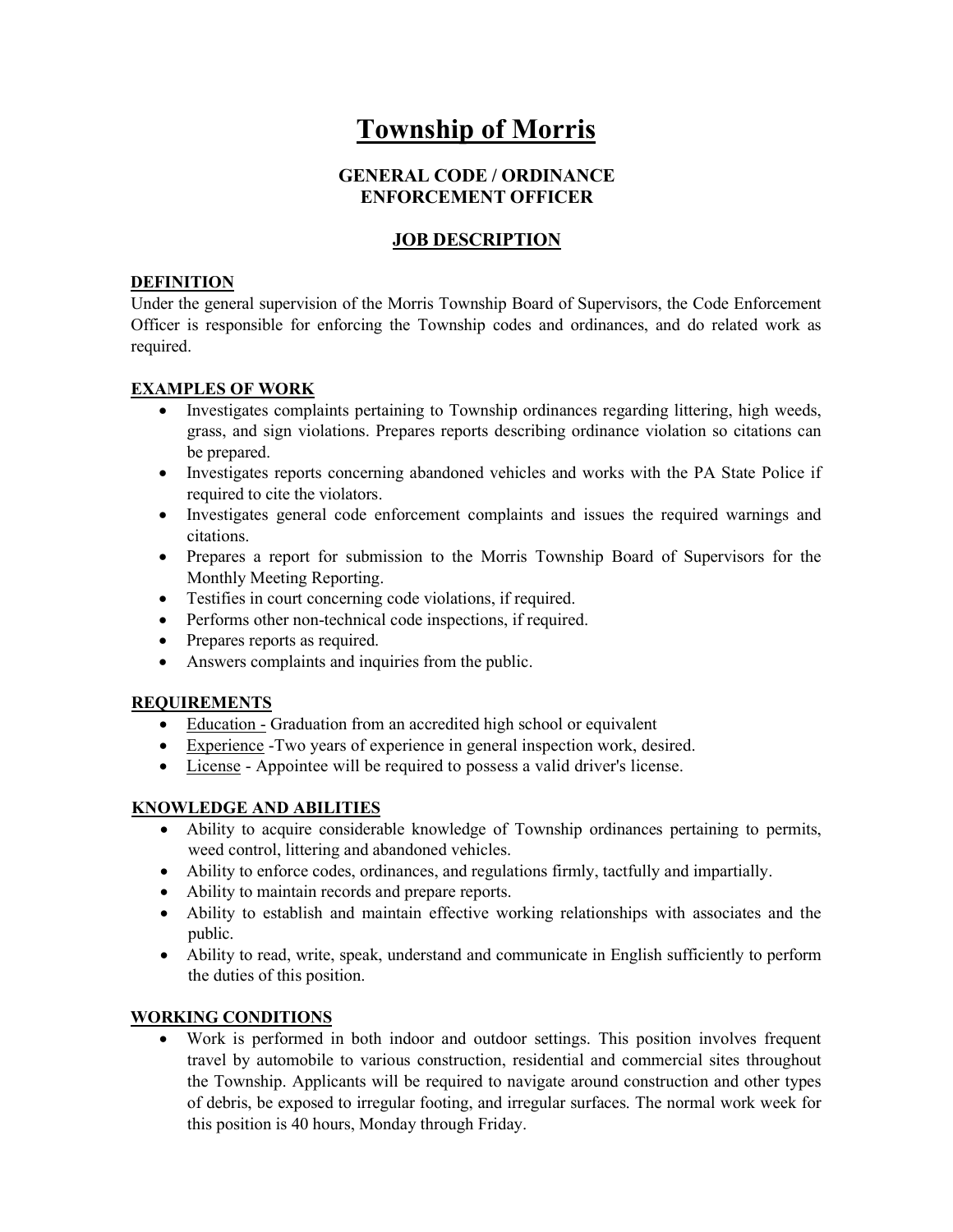# Township of Morris

## GENERAL CODE / ORDINANCE ENFORCEMENT OFFICER

# JOB DESCRIPTION

## DEFINITION

Under the general supervision of the Morris Township Board of Supervisors, the Code Enforcement Officer is responsible for enforcing the Township codes and ordinances, and do related work as required.

#### EXAMPLES OF WORK

- Investigates complaints pertaining to Township ordinances regarding littering, high weeds, grass, and sign violations. Prepares reports describing ordinance violation so citations can be prepared.
- Investigates reports concerning abandoned vehicles and works with the PA State Police if required to cite the violators.
- Investigates general code enforcement complaints and issues the required warnings and citations.
- Prepares a report for submission to the Morris Township Board of Supervisors for the Monthly Meeting Reporting.
- Testifies in court concerning code violations, if required.
- Performs other non-technical code inspections, if required.
- Prepares reports as required.
- Answers complaints and inquiries from the public.

#### REQUIREMENTS

- Education Graduation from an accredited high school or equivalent
- Experience -Two years of experience in general inspection work, desired.
- License Appointee will be required to possess a valid driver's license.

## KNOWLEDGE AND ABILITIES

- Ability to acquire considerable knowledge of Township ordinances pertaining to permits, weed control, littering and abandoned vehicles.
- Ability to enforce codes, ordinances, and regulations firmly, tactfully and impartially.
- Ability to maintain records and prepare reports.
- Ability to establish and maintain effective working relationships with associates and the public.
- Ability to read, write, speak, understand and communicate in English sufficiently to perform the duties of this position.

## WORKING CONDITIONS

 Work is performed in both indoor and outdoor settings. This position involves frequent travel by automobile to various construction, residential and commercial sites throughout the Township. Applicants will be required to navigate around construction and other types of debris, be exposed to irregular footing, and irregular surfaces. The normal work week for this position is 40 hours, Monday through Friday.